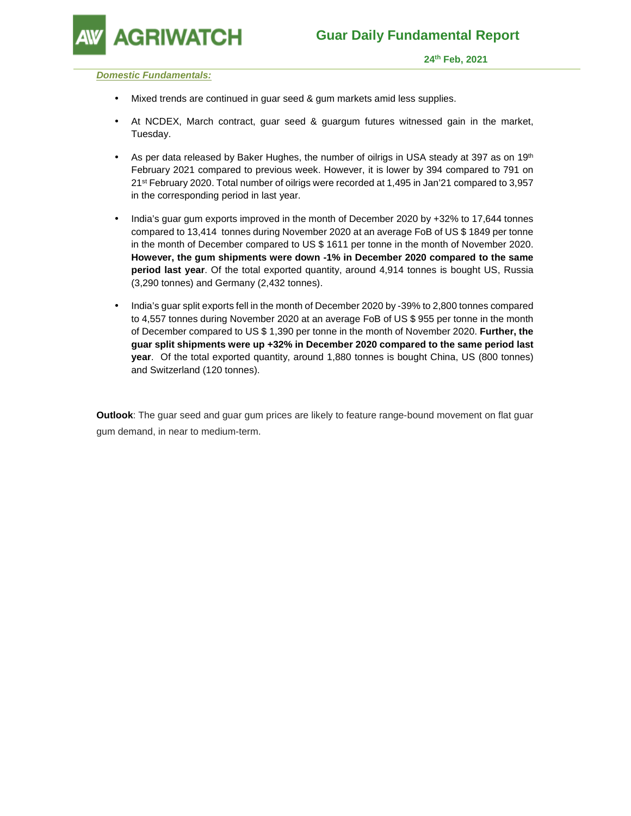

**GRIWATCH** 

 **24th Feb, 2021** 

**Domestic Fundamentals:** 

- Mixed trends are continued in guar seed & gum markets amid less supplies.
- At NCDEX, March contract, guar seed & guargum futures witnessed gain in the market, Tuesday.
- As per data released by Baker Hughes, the number of oilrigs in USA steady at 397 as on 19th February 2021 compared to previous week. However, it is lower by 394 compared to 791 on 21st February 2020. Total number of oilrigs were recorded at 1,495 in Jan'21 compared to 3,957 in the corresponding period in last year.
- India's guar gum exports improved in the month of December 2020 by +32% to 17,644 tonnes compared to 13,414 tonnes during November 2020 at an average FoB of US \$ 1849 per tonne in the month of December compared to US \$ 1611 per tonne in the month of November 2020. **However, the gum shipments were down -1% in December 2020 compared to the same period last year**. Of the total exported quantity, around 4,914 tonnes is bought US, Russia (3,290 tonnes) and Germany (2,432 tonnes).
- India's guar split exports fell in the month of December 2020 by -39% to 2,800 tonnes compared to 4,557 tonnes during November 2020 at an average FoB of US \$ 955 per tonne in the month of December compared to US \$ 1,390 per tonne in the month of November 2020. **Further, the guar split shipments were up +32% in December 2020 compared to the same period last year**. Of the total exported quantity, around 1,880 tonnes is bought China, US (800 tonnes) and Switzerland (120 tonnes).

**Outlook**: The guar seed and guar gum prices are likely to feature range-bound movement on flat guar gum demand, in near to medium-term.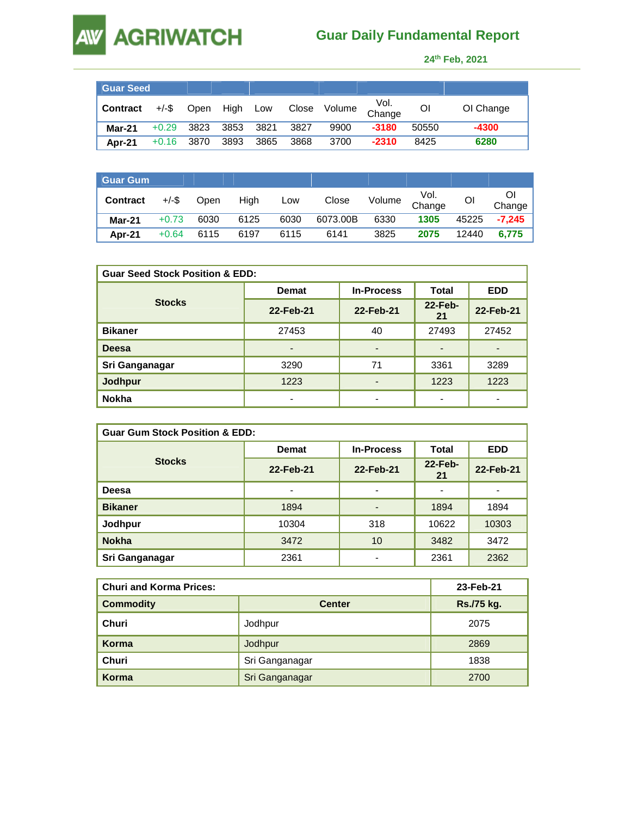## **Guar Daily Fundamental Report**

 **24th Feb, 2021** 

| <b>Guar Seed</b> |              |               |      |        |      |              |                |       |           |
|------------------|--------------|---------------|------|--------|------|--------------|----------------|-------|-----------|
| <b>Contract</b>  | $+/-$ \$     | Open High Low |      |        |      | Close Volume | Vol.<br>Change | ΟI    | OI Change |
| <b>Mar-21</b>    | $+0.29$      | 3823          | 3853 | - 3821 | 3827 | 9900         | $-3180$        | 50550 | $-4300$   |
| Apr-21           | $+0.16$ 3870 |               | 3893 | 3865   | 3868 | 3700         | $-2310$        | 8425  | 6280      |

**AGRIWATCH** 

**AW** 

| <b>Guar Gum</b> |          |      |      |      |          |        |                |       |          |
|-----------------|----------|------|------|------|----------|--------|----------------|-------|----------|
| <b>Contract</b> | $+/-$ \$ | Open | High | Low  | Close    | Volume | Vol.<br>Change | Οl    | Change   |
| Mar-21          | $+0.73$  | 6030 | 6125 | 6030 | 6073.00B | 6330   | 1305           | 45225 | $-7.245$ |
| Apr-21          | $+0.64$  | 6115 | 6197 | 6115 | 6141     | 3825   | 2075           | 12440 | 6.775    |

| <b>Guar Seed Stock Position &amp; EDD:</b> |                                   |                          |               |            |  |  |  |
|--------------------------------------------|-----------------------------------|--------------------------|---------------|------------|--|--|--|
|                                            | <b>In-Process</b><br><b>Demat</b> |                          | Total         | <b>EDD</b> |  |  |  |
| <b>Stocks</b>                              | 22-Feb-21                         | 22-Feb-21                | 22-Feb-<br>21 | 22-Feb-21  |  |  |  |
| <b>Bikaner</b>                             | 27453                             | 40                       | 27493         | 27452      |  |  |  |
| Deesa                                      | $\blacksquare$                    | $\overline{\phantom{0}}$ |               |            |  |  |  |
| Sri Ganganagar                             | 3290                              | 71                       | 3361          | 3289       |  |  |  |
| <b>Jodhpur</b>                             | 1223                              | $\overline{\phantom{0}}$ | 1223          | 1223       |  |  |  |
| <b>Nokha</b>                               |                                   | ٠                        |               |            |  |  |  |

| <b>Guar Gum Stock Position &amp; EDD:</b> |                                   |                          |                          |            |  |  |  |
|-------------------------------------------|-----------------------------------|--------------------------|--------------------------|------------|--|--|--|
|                                           | <b>In-Process</b><br><b>Demat</b> |                          | Total                    | <b>EDD</b> |  |  |  |
| <b>Stocks</b>                             | 22-Feb-21                         | 22-Feb-21                | $22$ -Feb-<br>21         | 22-Feb-21  |  |  |  |
| Deesa                                     | $\blacksquare$                    | $\overline{\phantom{0}}$ | $\overline{\phantom{0}}$ |            |  |  |  |
| <b>Bikaner</b>                            | 1894                              | ٠                        | 1894                     | 1894       |  |  |  |
| Jodhpur                                   | 10304                             | 318                      | 10622                    | 10303      |  |  |  |
| <b>Nokha</b>                              | 3472                              | 10                       | 3482                     | 3472       |  |  |  |
| Sri Ganganagar                            | 2361                              | ۰                        | 2361                     | 2362       |  |  |  |

| <b>Churi and Korma Prices:</b> |                | 23-Feb-21  |
|--------------------------------|----------------|------------|
| <b>Commodity</b>               | <b>Center</b>  | Rs./75 kg. |
| Churi                          | Jodhpur        | 2075       |
| Korma                          | Jodhpur        | 2869       |
| Churi                          | Sri Ganganagar | 1838       |
| Korma                          | Sri Ganganagar | 2700       |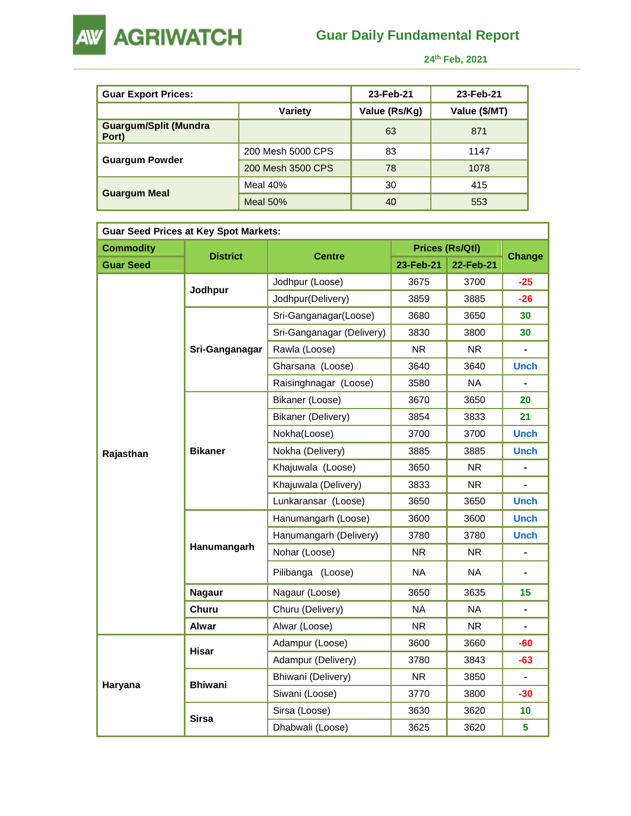

**AW AGRIWATCH** 

 **24th Feb, 2021** 

| <b>Guar Export Prices:</b>            |                   |               |               |
|---------------------------------------|-------------------|---------------|---------------|
|                                       | Variety           | Value (Rs/Kg) | Value (\$/MT) |
| <b>Guargum/Split (Mundra</b><br>Port) |                   | 63            | 871           |
|                                       | 200 Mesh 5000 CPS | 83            | 1147          |
| <b>Guargum Powder</b>                 | 200 Mesh 3500 CPS | 78            | 1078          |
|                                       | Meal 40%          | 30            | 415           |
| <b>Guargum Meal</b>                   | Meal $50%$        | 40            | 553           |

| <b>Guar Seed Prices at Key Spot Markets:</b> |                 |                           |           |                 |                |  |  |  |
|----------------------------------------------|-----------------|---------------------------|-----------|-----------------|----------------|--|--|--|
| <b>Commodity</b>                             | <b>District</b> |                           |           | Prices (Rs/Qtl) | Change         |  |  |  |
| <b>Guar Seed</b>                             |                 | <b>Centre</b>             | 23-Feb-21 | 22-Feb-21       |                |  |  |  |
|                                              |                 | Jodhpur (Loose)           | 3675      | 3700            | $-25$          |  |  |  |
|                                              | Jodhpur         | Jodhpur(Delivery)         | 3859      | 3885            | $-26$          |  |  |  |
|                                              |                 | Sri-Ganganagar(Loose)     | 3680      | 3650            | 30             |  |  |  |
|                                              |                 | Sri-Ganganagar (Delivery) | 3830      | 3800            | 30             |  |  |  |
|                                              | Sri-Ganganagar  | Rawla (Loose)             | <b>NR</b> | <b>NR</b>       |                |  |  |  |
|                                              |                 | Gharsana (Loose)          | 3640      | 3640            | <b>Unch</b>    |  |  |  |
|                                              |                 | Raisinghnagar (Loose)     | 3580      | <b>NA</b>       |                |  |  |  |
|                                              |                 | Bikaner (Loose)           | 3670      | 3650            | 20             |  |  |  |
|                                              |                 | Bikaner (Delivery)        | 3854      | 3833            | 21             |  |  |  |
|                                              | <b>Bikaner</b>  | Nokha(Loose)              | 3700      | 3700            | <b>Unch</b>    |  |  |  |
| Rajasthan                                    |                 | Nokha (Delivery)          | 3885      | 3885            | <b>Unch</b>    |  |  |  |
|                                              |                 | Khajuwala (Loose)         | 3650      | <b>NR</b>       | $\blacksquare$ |  |  |  |
|                                              |                 | Khajuwala (Delivery)      | 3833      | <b>NR</b>       |                |  |  |  |
|                                              |                 | Lunkaransar (Loose)       | 3650      | 3650            | <b>Unch</b>    |  |  |  |
|                                              | Hanumangarh     | Hanumangarh (Loose)       | 3600      | 3600            | <b>Unch</b>    |  |  |  |
|                                              |                 | Hanumangarh (Delivery)    | 3780      | 3780            | <b>Unch</b>    |  |  |  |
|                                              |                 | Nohar (Loose)             | <b>NR</b> | NR.             |                |  |  |  |
|                                              |                 | Pilibanga (Loose)         | <b>NA</b> | <b>NA</b>       |                |  |  |  |
|                                              | <b>Nagaur</b>   | Nagaur (Loose)            | 3650      | 3635            | 15             |  |  |  |
|                                              | Churu           | Churu (Delivery)          | <b>NA</b> | <b>NA</b>       | ۰              |  |  |  |
|                                              | Alwar           | Alwar (Loose)             | <b>NR</b> | <b>NR</b>       |                |  |  |  |
|                                              |                 | Adampur (Loose)           | 3600      | 3660            | -60            |  |  |  |
|                                              | Hisar           | Adampur (Delivery)        | 3780      | 3843            | $-63$          |  |  |  |
|                                              |                 | Bhiwani (Delivery)        | <b>NR</b> | 3850            | $\blacksquare$ |  |  |  |
| Haryana                                      | <b>Bhiwani</b>  | Siwani (Loose)            | 3770      | 3800            | -30            |  |  |  |
|                                              |                 | Sirsa (Loose)             | 3630      | 3620            | 10             |  |  |  |
|                                              | <b>Sirsa</b>    | Dhabwali (Loose)          | 3625      | 3620            | 5              |  |  |  |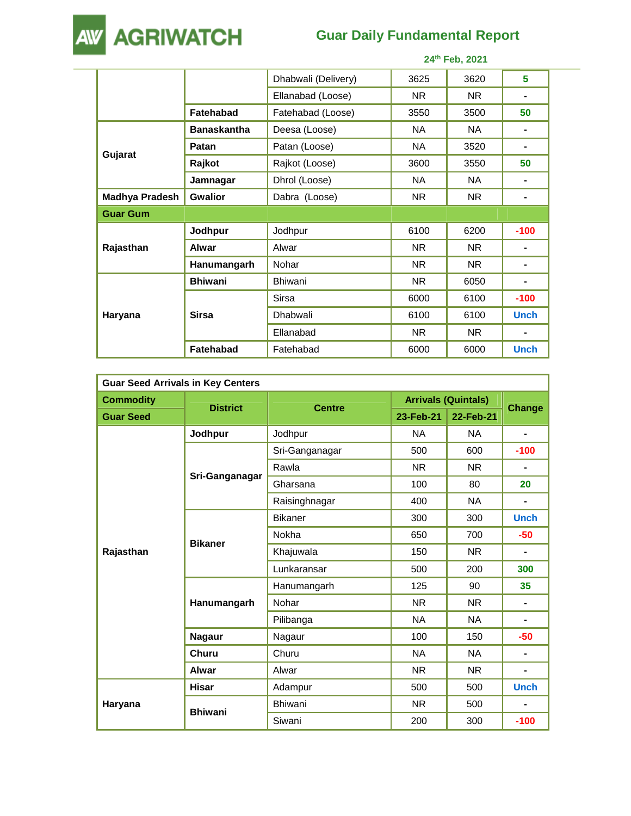

## **Guar Daily Fundamental Report**

|                       |                    | 24th Feb, 2021      |           |           |                |  |
|-----------------------|--------------------|---------------------|-----------|-----------|----------------|--|
|                       |                    | Dhabwali (Delivery) | 3625      | 3620      | 5              |  |
|                       |                    | Ellanabad (Loose)   | NR.       | NR.       | ٠              |  |
|                       | <b>Fatehabad</b>   | Fatehabad (Loose)   | 3550      | 3500      | 50             |  |
|                       | <b>Banaskantha</b> | Deesa (Loose)       | NA.       | NA.       | $\blacksquare$ |  |
|                       | Patan              | Patan (Loose)       | NA        | 3520      | ۰              |  |
| Gujarat               | Rajkot             | Rajkot (Loose)      | 3600      | 3550      | 50             |  |
|                       | Jamnagar           | Dhrol (Loose)       | NA.       | NA.       | ۰              |  |
| <b>Madhya Pradesh</b> | <b>Gwalior</b>     | Dabra (Loose)       | <b>NR</b> | <b>NR</b> | ۰              |  |
| <b>Guar Gum</b>       |                    |                     |           |           |                |  |
|                       | Jodhpur            | Jodhpur             | 6100      | 6200      | $-100$         |  |
| Rajasthan             | Alwar              | Alwar               | NR.       | NR.       | ۰              |  |
|                       | Hanumangarh        | Nohar               | NR.       | NR.       | ۰              |  |
|                       | <b>Bhiwani</b>     | <b>Bhiwani</b>      | NR.       | 6050      | ۰              |  |
| Haryana               |                    | Sirsa               | 6000      | 6100      | $-100$         |  |
|                       | <b>Sirsa</b>       | Dhabwali            | 6100      | 6100      | <b>Unch</b>    |  |
|                       |                    | Ellanabad           | <b>NR</b> | <b>NR</b> |                |  |
|                       | <b>Fatehabad</b>   | Fatehabad           | 6000      | 6000      | <b>Unch</b>    |  |

| <b>Guar Seed Arrivals in Key Centers</b> |                 |                |                            |           |                |  |  |
|------------------------------------------|-----------------|----------------|----------------------------|-----------|----------------|--|--|
| <b>Commodity</b>                         | <b>District</b> | <b>Centre</b>  | <b>Arrivals (Quintals)</b> |           |                |  |  |
| <b>Guar Seed</b>                         |                 |                | 23-Feb-21                  | 22-Feb-21 | <b>Change</b>  |  |  |
|                                          | Jodhpur         | Jodhpur        | <b>NA</b>                  | <b>NA</b> | ٠              |  |  |
|                                          |                 | Sri-Ganganagar | 500                        | 600       | $-100$         |  |  |
|                                          |                 | Rawla          | <b>NR</b>                  | <b>NR</b> |                |  |  |
|                                          | Sri-Ganganagar  | Gharsana       | 100                        | 80        | 20             |  |  |
|                                          |                 | Raisinghnagar  | 400                        | <b>NA</b> | ٠              |  |  |
|                                          | <b>Bikaner</b>  | <b>Bikaner</b> | 300                        | 300       | <b>Unch</b>    |  |  |
|                                          |                 | Nokha          | 650                        | 700       | $-50$          |  |  |
| Rajasthan                                |                 | Khajuwala      | 150                        | <b>NR</b> | $\blacksquare$ |  |  |
|                                          |                 | Lunkaransar    | 500                        | 200       | 300            |  |  |
|                                          |                 | Hanumangarh    | 125                        | 90        | 35             |  |  |
|                                          | Hanumangarh     | Nohar          | <b>NR</b>                  | <b>NR</b> | ٠              |  |  |
|                                          |                 | Pilibanga      | <b>NA</b>                  | <b>NA</b> | ۰              |  |  |
|                                          | <b>Nagaur</b>   | Nagaur         | 100                        | 150       | $-50$          |  |  |
|                                          | Churu           | Churu          | <b>NA</b>                  | NA.       | $\blacksquare$ |  |  |
|                                          | Alwar           | Alwar          | <b>NR</b>                  | <b>NR</b> | $\blacksquare$ |  |  |
|                                          | <b>Hisar</b>    | Adampur        | 500                        | 500       | <b>Unch</b>    |  |  |
| Haryana                                  |                 | Bhiwani        | <b>NR</b>                  | 500       | ٠              |  |  |
|                                          | <b>Bhiwani</b>  | Siwani         | 200                        | 300       | $-100$         |  |  |